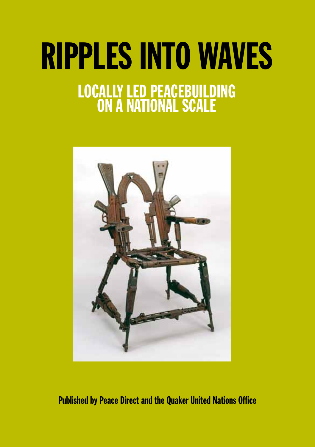# RIPPLES inTO WAVES LOCALly led PEACEBUILDING <mark>on a national</mark> s



Published by Peace Direct and the Quaker United Nations Office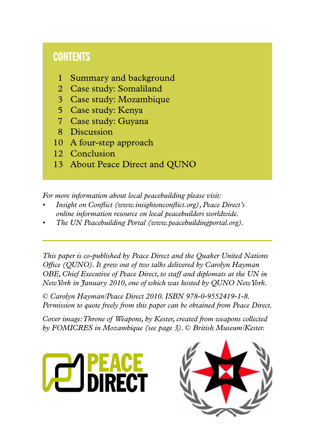# **CONTENTS**

- 1 Summary and background
- 2 Case study: Somaliland
- 3 Case study: Mozambique
- 5 Case study: Kenya
- 7 Case study: Guyana
- 8 Discussion
- 10 A four-step approach
- 12 Conclusion
- 13 About Peace Direct and QUNO

*For more information about local peacebuilding please visit:*

- *Insight on Conflict (www.insightonconflict.org), Peace Direct's online information resource on local peacebuilders worldwide.*
- *<i>The UN Peacebuilding Portal (www.peacebuildingportal.org).*

*This paper is co-published by Peace Direct and the Quaker United Nations Office (QUNO). It grew out of two talks delivered by Carolyn Hayman OBE, Chief Executive of Peace Direct, to staff and diplomats at the UN in New York in January 2010, one of which was hosted by QUNO New York.*

*© Carolyn Hayman/Peace Direct 2010. ISBN 978-0-9552419-1-8. Permission to quote freely from this paper can be obtained from Peace Direct.*

*Cover image: Throne of Weapons, by Kester, created from weapons collected by FOMICRES in Mozambique (see page 3). © British Museum/Kester.*



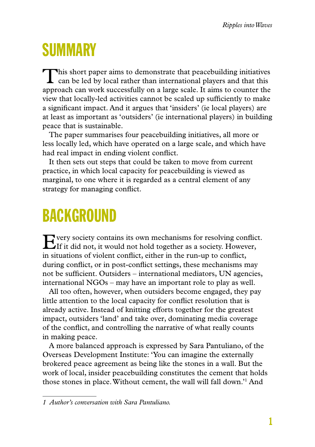# **SUMMARY**

This short paper aims to demonstrate that peacebuilding initiatives can be led by local rather than international players and that this approach can work successfully on a large scale. It aims to counter the view that locally-led activities cannot be scaled up sufficiently to make a significant impact. And it argues that 'insiders' (ie local players) are at least as important as 'outsiders' (ie international players) in building peace that is sustainable.

The paper summarises four peacebuilding initiatives, all more or less locally led, which have operated on a large scale, and which have had real impact in ending violent conflict.

It then sets out steps that could be taken to move from current practice, in which local capacity for peacebuilding is viewed as marginal, to one where it is regarded as a central element of any strategy for managing conflict.

# **BACKGROUND**

Every society contains its own mechanisms for resolving conflict. If it did not, it would not hold together as a society. However, in situations of violent conflict, either in the run-up to conflict, during conflict, or in post-conflict settings, these mechanisms may not be sufficient. Outsiders – international mediators, UN agencies, international NGOs – may have an important role to play as well.

All too often, however, when outsiders become engaged, they pay little attention to the local capacity for conflict resolution that is already active. Instead of knitting efforts together for the greatest impact, outsiders 'land' and take over, dominating media coverage of the conflict, and controlling the narrative of what really counts in making peace.

A more balanced approach is expressed by Sara Pantuliano, of the Overseas Development Institute: 'You can imagine the externally brokered peace agreement as being like the stones in a wall. But the work of local, insider peacebuilding constitutes the cement that holds those stones in place. Without cement, the wall will fall down.'1 And

*<sup>1</sup> Author's conversation with Sara Pantuliano.*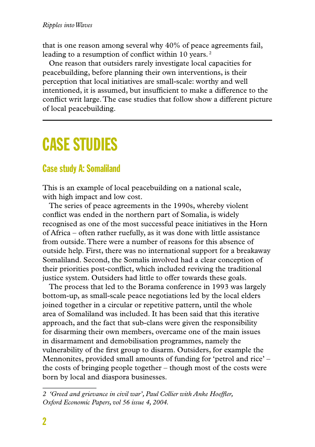that is one reason among several why 40% of peace agreements fail, leading to a resumption of conflict within 10 years.<sup>2</sup>

One reason that outsiders rarely investigate local capacities for peacebuilding, before planning their own interventions, is their perception that local initiatives are small-scale: worthy and well intentioned, it is assumed, but insufficient to make a difference to the conflict writ large. The case studies that follow show a different picture of local peacebuilding.

# Case studies

### Case study A: Somaliland

This is an example of local peacebuilding on a national scale, with high impact and low cost.

The series of peace agreements in the 1990s, whereby violent conflict was ended in the northern part of Somalia, is widely recognised as one of the most successful peace initiatives in the Horn of Africa – often rather ruefully, as it was done with little assistance from outside. There were a number of reasons for this absence of outside help. First, there was no international support for a breakaway Somaliland. Second, the Somalis involved had a clear conception of their priorities post-conflict, which included reviving the traditional justice system. Outsiders had little to offer towards these goals.

The process that led to the Borama conference in 1993 was largely bottom-up, as small-scale peace negotiations led by the local elders joined together in a circular or repetitive pattern, until the whole area of Somaliland was included. It has been said that this iterative approach, and the fact that sub-clans were given the responsibility for disarming their own members, overcame one of the main issues in disarmament and demobilisation programmes, namely the vulnerability of the first group to disarm. Outsiders, for example the Mennonites, provided small amounts of funding for 'petrol and rice' – the costs of bringing people together – though most of the costs were born by local and diaspora businesses.

*<sup>2 &#</sup>x27;Greed and grievance in civil war', Paul Collier with Anke Hoeffler, Oxford Economic Papers, vol 56 issue 4, 2004.*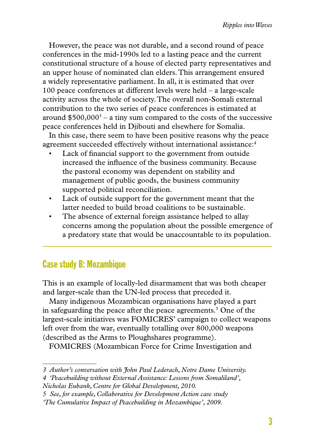However, the peace was not durable, and a second round of peace conferences in the mid-1990s led to a lasting peace and the current constitutional structure of a house of elected party representatives and an upper house of nominated clan elders. This arrangement ensured a widely representative parliament. In all, it is estimated that over 100 peace conferences at different levels were held – a large-scale activity across the whole of society. The overall non-Somali external contribution to the two series of peace conferences is estimated at around  $$500,000^3 - a$  tiny sum compared to the costs of the successive peace conferences held in Djibouti and elsewhere for Somalia.

In this case, there seem to have been positive reasons why the peace agreement succeeded effectively without international assistance:<sup>4</sup>

- Lack of financial support to the government from outside increased the influence of the business community. Because the pastoral economy was dependent on stability and management of public goods, the business community supported political reconciliation.
- • Lack of outside support for the government meant that the latter needed to build broad coalitions to be sustainable.
- The absence of external foreign assistance helped to allay concerns among the population about the possible emergence of a predatory state that would be unaccountable to its population.

### Case study B: Mozambique

This is an example of locally-led disarmament that was both cheaper and larger-scale than the UN-led process that preceded it.

Many indigenous Mozambican organisations have played a part in safeguarding the peace after the peace agreements.<sup>5</sup> One of the largest-scale initiatives was FOMICRES' campaign to collect weapons left over from the war, eventually totalling over 800,000 weapons (described as the Arms to Ploughshares programme).

FOMICRES (Mozambican Force for Crime Investigation and

*<sup>3</sup> Author's conversation with John Paul Lederach, Notre Dame University.*

*<sup>4 &#</sup>x27;Peacebuilding without External Assistance: Lessons from Somaliland',* 

*Nicholas Eubank, Centre for Global Development, 2010.*

*<sup>5</sup> See, for example, Collaborative for Development Action case study* 

*<sup>&#</sup>x27;The Cumulative Impact of Peacebuilding in Mozambique', 2009.*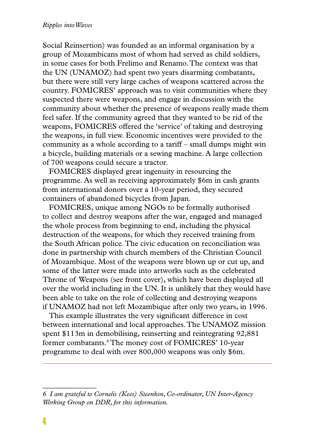Social Reinsertion) was founded as an informal organisation by a group of Mozambicans most of whom had served as child soldiers, in some cases for both Frelimo and Renamo. The context was that the UN (UNAMOZ) had spent two years disarming combatants, but there were still very large caches of weapons scattered across the country. FOMICRES' approach was to visit communities where they suspected there were weapons, and engage in discussion with the community about whether the presence of weapons really made them feel safer. If the community agreed that they wanted to be rid of the weapons, FOMICRES offered the 'service' of taking and destroying the weapons, in full view. Economic incentives were provided to the community as a whole according to a tariff – small dumps might win a bicycle, building materials or a sewing machine. A large collection of 700 weapons could secure a tractor.

FOMICRES displayed great ingenuity in resourcing the programme. As well as receiving approximately \$6m in cash grants from international donors over a 10-year period, they secured containers of abandoned bicycles from Japan.

FOMICRES, unique among NGOs to be formally authorised to collect and destroy weapons after the war, engaged and managed the whole process from beginning to end, including the physical destruction of the weapons, for which they received training from the South African police. The civic education on reconciliation was done in partnership with church members of the Christian Council of Mozambique. Most of the weapons were blown up or cut up, and some of the latter were made into artworks such as the celebrated Throne of Weapons (see front cover), which have been displayed all over the world including in the UN. It is unlikely that they would have been able to take on the role of collecting and destroying weapons if UNAMOZ had not left Mozambique after only two years, in 1996.

This example illustrates the very significant difference in cost between international and local approaches. The UNAMOZ mission spent \$113m in demobilising, reinserting and reintegrating 92,881 former combatants.<sup>6</sup> The money cost of FOMICRES' 10-year programme to deal with over 800,000 weapons was only \$6m.

*<sup>6</sup> I am grateful to Cornelis (Kees) Steenken, Co-ordinator, UN Inter-Agency Working Group on DDR, for this information.*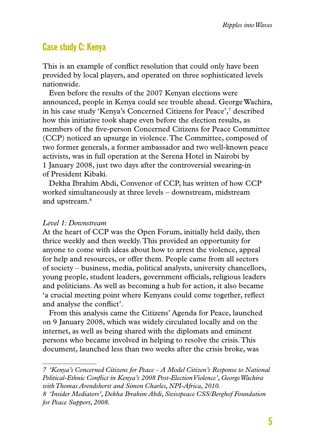#### Case study C: Kenya

This is an example of conflict resolution that could only have been provided by local players, and operated on three sophisticated levels nationwide.

Even before the results of the 2007 Kenyan elections were announced, people in Kenya could see trouble ahead. George Wachira, in his case study 'Kenya's Concerned Citizens for Peace',7 described how this initiative took shape even before the election results, as members of the five-person Concerned Citizens for Peace Committee (CCP) noticed an upsurge in violence. The Committee, composed of two former generals, a former ambassador and two well-known peace activists, was in full operation at the Serena Hotel in Nairobi by 1 January 2008, just two days after the controversial swearing-in of President Kibaki.

Dekha Ibrahim Abdi, Convenor of CCP, has written of how CCP worked simultaneously at three levels – downstream, midstream and upstream.8

#### *Level 1: Downstream*

At the heart of CCP was the Open Forum, initially held daily, then thrice weekly and then weekly. This provided an opportunity for anyone to come with ideas about how to arrest the violence, appeal for help and resources, or offer them. People came from all sectors of society – business, media, political analysts, university chancellors, young people, student leaders, government officials, religious leaders and politicians. As well as becoming a hub for action, it also became 'a crucial meeting point where Kenyans could come together, reflect and analyse the conflict'.

From this analysis came the Citizens' Agenda for Peace, launched on 9 January 2008, which was widely circulated locally and on the internet, as well as being shared with the diplomats and eminent persons who became involved in helping to resolve the crisis. This document, launched less than two weeks after the crisis broke, was

*<sup>7 &#</sup>x27;Kenya's Concerned Citizens for Peace – A Model Citizen's Response to National Political-Ethnic Conflict in Kenya's 2008 Post-Election Violence', George Wachira with Thomas Arendshorst and Simon Charles, NPI-Africa, 2010.*

*<sup>8 &#</sup>x27;Insider Mediators', Dekha Ibrahim Abdi, Swisspeace CSS/Berghof Foundation for Peace Support, 2008.*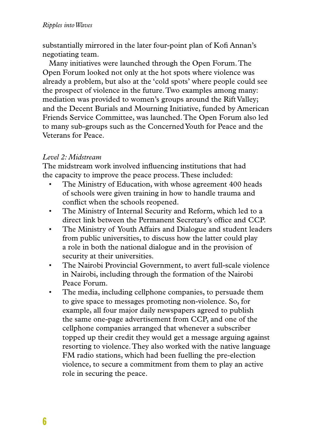substantially mirrored in the later four-point plan of Kofi Annan's negotiating team.

Many initiatives were launched through the Open Forum. The Open Forum looked not only at the hot spots where violence was already a problem, but also at the 'cold spots' where people could see the prospect of violence in the future. Two examples among many: mediation was provided to women's groups around the Rift Valley; and the Decent Burials and Mourning Initiative, funded by American Friends Service Committee, was launched. The Open Forum also led to many sub-groups such as the Concerned Youth for Peace and the Veterans for Peace.

#### *Level 2: Midstream*

The midstream work involved influencing institutions that had the capacity to improve the peace process. These included:

- The Ministry of Education, with whose agreement 400 heads of schools were given training in how to handle trauma and conflict when the schools reopened.
- • The Ministry of Internal Security and Reform, which led to a direct link between the Permanent Secretary's office and CCP.
- • The Ministry of Youth Affairs and Dialogue and student leaders from public universities, to discuss how the latter could play a role in both the national dialogue and in the provision of security at their universities.
- • The Nairobi Provincial Government, to avert full-scale violence in Nairobi, including through the formation of the Nairobi Peace Forum.
- The media, including cellphone companies, to persuade them to give space to messages promoting non-violence. So, for example, all four major daily newspapers agreed to publish the same one-page advertisement from CCP, and one of the cellphone companies arranged that whenever a subscriber topped up their credit they would get a message arguing against resorting to violence. They also worked with the native language FM radio stations, which had been fuelling the pre-election violence, to secure a commitment from them to play an active role in securing the peace.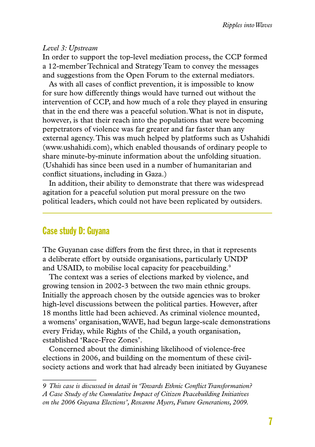#### *Level 3: Upstream*

In order to support the top-level mediation process, the CCP formed a 12-member Technical and Strategy Team to convey the messages and suggestions from the Open Forum to the external mediators.

As with all cases of conflict prevention, it is impossible to know for sure how differently things would have turned out without the intervention of CCP, and how much of a role they played in ensuring that in the end there was a peaceful solution. What is not in dispute, however, is that their reach into the populations that were becoming perpetrators of violence was far greater and far faster than any external agency. This was much helped by platforms such as Ushahidi (www.ushahidi.com), which enabled thousands of ordinary people to share minute-by-minute information about the unfolding situation. (Ushahidi has since been used in a number of humanitarian and conflict situations, including in Gaza.)

In addition, their ability to demonstrate that there was widespread agitation for a peaceful solution put moral pressure on the two political leaders, which could not have been replicated by outsiders.

#### Case study D: Guyana

The Guyanan case differs from the first three, in that it represents a deliberate effort by outside organisations, particularly UNDP and USAID, to mobilise local capacity for peacebuilding.<sup>9</sup>

The context was a series of elections marked by violence, and growing tension in 2002-3 between the two main ethnic groups. Initially the approach chosen by the outside agencies was to broker high-level discussions between the political parties. However, after 18 months little had been achieved. As criminal violence mounted, a womens' organisation, WAVE, had begun large-scale demonstrations every Friday, while Rights of the Child, a youth organisation, established 'Race-Free Zones'.

Concerned about the diminishing likelihood of violence-free elections in 2006, and building on the momentum of these civilsociety actions and work that had already been initiated by Guyanese

*<sup>9</sup> This case is discussed in detail in 'Towards Ethnic Conflict Transformation? A Case Study of the Cumulative Impact of Citizen Peacebuilding Initiatives on the 2006 Guyana Elections', Roxanne Myers, Future Generations, 2009.*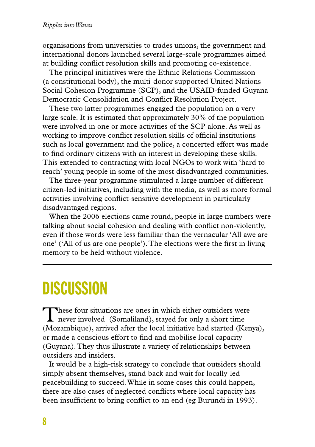organisations from universities to trades unions, the government and international donors launched several large-scale programmes aimed at building conflict resolution skills and promoting co-existence.

The principal initiatives were the Ethnic Relations Commission (a constitutional body), the multi-donor supported United Nations Social Cohesion Programme (SCP), and the USAID-funded Guyana Democratic Consolidation and Conflict Resolution Project.

These two latter programmes engaged the population on a very large scale. It is estimated that approximately 30% of the population were involved in one or more activities of the SCP alone. As well as working to improve conflict resolution skills of official institutions such as local government and the police, a concerted effort was made to find ordinary citizens with an interest in developing these skills. This extended to contracting with local NGOs to work with 'hard to reach' young people in some of the most disadvantaged communities.

The three-year programme stimulated a large number of different citizen-led initiatives, including with the media, as well as more formal activities involving conflict-sensitive development in particularly disadvantaged regions.

When the 2006 elections came round, people in large numbers were talking about social cohesion and dealing with conflict non-violently, even if those words were less familiar than the vernacular 'All awe are one' ('All of us are one people'). The elections were the first in living memory to be held without violence.

# **DISCUSSION**

These four situations are ones in which either outsiders were never involved (Somaliland), stayed for only a short time (Mozambique), arrived after the local initiative had started (Kenya), or made a conscious effort to find and mobilise local capacity (Guyana). They thus illustrate a variety of relationships between outsiders and insiders.

It would be a high-risk strategy to conclude that outsiders should simply absent themselves, stand back and wait for locally-led peacebuilding to succeed. While in some cases this could happen, there are also cases of neglected conflicts where local capacity has been insufficient to bring conflict to an end (eg Burundi in 1993).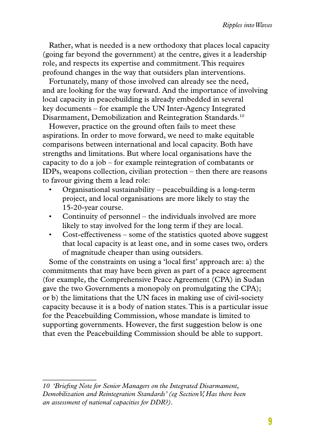Rather, what is needed is a new orthodoxy that places local capacity (going far beyond the government) at the centre, gives it a leadership role, and respects its expertise and commitment. This requires profound changes in the way that outsiders plan interventions.

Fortunately, many of those involved can already see the need, and are looking for the way forward. And the importance of involving local capacity in peacebuilding is already embedded in several key documents – for example the UN Inter-Agency Integrated Disarmament, Demobilization and Reintegration Standards.10

However, practice on the ground often fails to meet these aspirations. In order to move forward, we need to make equitable comparisons between international and local capacity. Both have strengths and limitations. But where local organisations have the capacity to do a job – for example reintegration of combatants or IDPs, weapons collection, civilian protection – then there are reasons to favour giving them a lead role:

- Organisational sustainability peacebuilding is a long-term project, and local organisations are more likely to stay the 15-20-year course.
- Continuity of personnel the individuals involved are more likely to stay involved for the long term if they are local.
- Cost-effectiveness some of the statistics quoted above suggest that local capacity is at least one, and in some cases two, orders of magnitude cheaper than using outsiders.

Some of the constraints on using a 'local first' approach are: a) the commitments that may have been given as part of a peace agreement (for example, the Comprehensive Peace Agreement (CPA) in Sudan gave the two Governments a monopoly on promulgating the CPA); or b) the limitations that the UN faces in making use of civil-society capacity because it is a body of nation states. This is a particular issue for the Peacebuilding Commission, whose mandate is limited to supporting governments. However, the first suggestion below is one that even the Peacebuilding Commission should be able to support.

*<sup>10 &#</sup>x27;Briefing Note for Senior Managers on the Integrated Disarmament, Demobilization and Reintegration Standards' (eg Section V, Has there been an assessment of national capacities for DDR?).*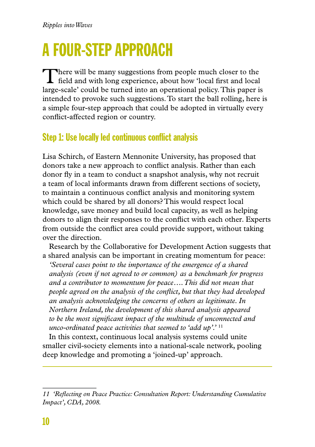# A four-stepapproach

There will be many suggestions from people much closer to the field and with long experience, about how 'local first and local large-scale' could be turned into an operational policy. This paper is intended to provoke such suggestions. To start the ball rolling, here is a simple four-step approach that could be adopted in virtually every conflict-affected region or country.

## Step 1: Use locally led continuous conflict analysis

Lisa Schirch, of Eastern Mennonite University, has proposed that donors take a new approach to conflict analysis. Rather than each donor fly in a team to conduct a snapshot analysis, why not recruit a team of local informants drawn from different sections of society, to maintain a continuous conflict analysis and monitoring system which could be shared by all donors? This would respect local knowledge, save money and build local capacity, as well as helping donors to align their responses to the conflict with each other. Experts from outside the conflict area could provide support, without taking over the direction.

Research by the Collaborative for Development Action suggests that a shared analysis can be important in creating momentum for peace:

*'Several cases point to the importance of the emergence of a shared analysis (even if not agreed to or common) as a benchmark for progress and a contributor to momentum for peace…. This did not mean that people agreed on the analysis of the conflict, but that they had developed an analysis acknowledging the concerns of others as legitimate. In Northern Ireland, the development of this shared analysis appeared to be the most significant impact of the multitude of unconnected and unco-ordinated peace activities that seemed to 'add up'.'* <sup>11</sup>

In this context, continuous local analysis systems could unite smaller civil-society elements into a national-scale network, pooling deep knowledge and promoting a 'joined-up' approach.

*<sup>11 &#</sup>x27;Reflecting on Peace Practice: Consultation Report: Understanding Cumulative Impact', CDA, 2008.*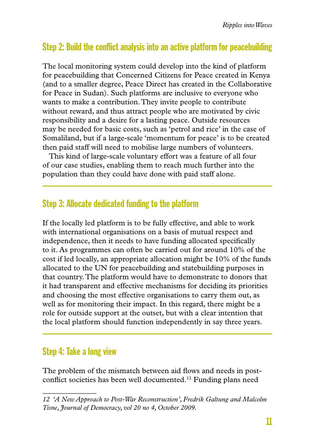### Step 2: Build the conflict analysis into an active platform for peacebuilding

The local monitoring system could develop into the kind of platform for peacebuilding that Concerned Citizens for Peace created in Kenya (and to a smaller degree, Peace Direct has created in the Collaborative for Peace in Sudan). Such platforms are inclusive to everyone who wants to make a contribution. They invite people to contribute without reward, and thus attract people who are motivated by civic responsibility and a desire for a lasting peace. Outside resources may be needed for basic costs, such as 'petrol and rice' in the case of Somaliland, but if a large-scale 'momentum for peace' is to be created then paid staff will need to mobilise large numbers of volunteers.

This kind of large-scale voluntary effort was a feature of all four of our case studies, enabling them to reach much further into the population than they could have done with paid staff alone.

#### Step 3: Allocate dedicated funding to the platform

If the locally led platform is to be fully effective, and able to work with international organisations on a basis of mutual respect and independence, then it needs to have funding allocated specifically to it. As programmes can often be carried out for around 10% of the cost if led locally, an appropriate allocation might be 10% of the funds allocated to the UN for peacebuilding and statebuilding purposes in that country. The platform would have to demonstrate to donors that it had transparent and effective mechanisms for deciding its priorities and choosing the most effective organisations to carry them out, as well as for monitoring their impact. In this regard, there might be a role for outside support at the outset, but with a clear intention that the local platform should function independently in say three years.

### Step 4: Take a long view

The problem of the mismatch between aid flows and needs in postconflict societies has been well documented.12 Funding plans need

*<sup>12 &#</sup>x27;A New Approach to Post-War Reconstruction', Fredrik Galtung and Malcolm Tisne, Journal of Democracy, vol 20 no 4, October 2009.*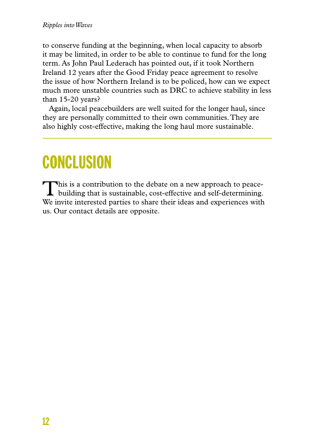to conserve funding at the beginning, when local capacity to absorb it may be limited, in order to be able to continue to fund for the long term. As John Paul Lederach has pointed out, if it took Northern Ireland 12 years after the Good Friday peace agreement to resolve the issue of how Northern Ireland is to be policed, how can we expect much more unstable countries such as DRC to achieve stability in less than 15-20 years?

Again, local peacebuilders are well suited for the longer haul, since they are personally committed to their own communities. They are also highly cost-effective, making the long haul more sustainable.

# **CONCLUSION**

This is a contribution to the debate on a new approach to peace-<br>building that is sustainable, cost-effective and self-determining. We invite interested parties to share their ideas and experiences with us. Our contact details are opposite.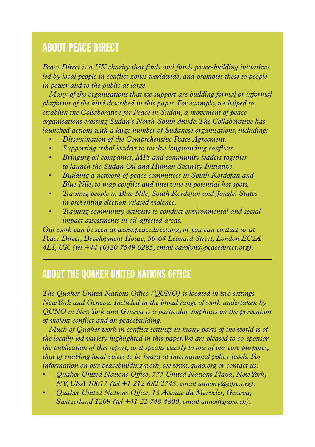### About Peace Direct

*Peace Direct is a UK charity that finds and funds peace-building initiatives led by local people in conflict zones worldwide, and promotes these to people in power and to the public at large.* 

*Many of the organisations that we support are building formal or informal platforms of the kind described in this paper. For example, we helped to establish the Collaborative for Peace in Sudan, a movement of peace organisations crossing Sudan's North-South divide. The Collaborative has launched actions with a large number of Sudanese organisations, including:*

- *Dissemination of the Comprehensive Peace Agreement.*
- *• Supporting tribal leaders to resolve longstanding conflicts.*
- *• Bringing oil companies, MPs and community leaders together to launch the Sudan Oil and Human Security Initiative.*
- *• Building a network of peace committees in South Kordofan and Blue Nile, to map conflict and intervene in potential hot spots.*
- *• Training people in Blue Nile, South Kordofan and Jonglei States in preventing election-related violence.*
- *Fraining community activists to conduct environmental and social impact assessments in oil-affected areas.*

*Our work can be seen at www.peacedirect.org, or you can contact us at Peace Direct, Development House, 56-64 Leonard Street, London EC2A 4LT, UK (tel +44 (0)20 7549 0285, email carolyn@peacedirect.org).*

### About the Quaker United Nations Office

*The Quaker United Nations Office (QUNO) is located in two settings – New York and Geneva. Included in the broad range of work undertaken by QUNO in New York and Geneva is a particular emphasis on the prevention of violent conflict and on peacebuilding.* 

*Much of Quaker work in conflict settings in many parts of the world is of the locally-led variety highlighted in this paper. We are pleased to co-sponsor the publication of this report, as it speaks clearly to one of our core purposes, that of enabling local voices to be heard at international policy levels. For information on our peacebuilding work, see www.quno.org or contact us:* 

- *• Quaker United Nations Office, 777 United Nations Plaza, New York, NY, USA 10017 (tel +1 212 682 2745, email qunony@afsc.org).*
- *• Quaker United Nations Office, 13 Avenue du Mervelet, Geneva, Switzerland 1209 (tel +41 22 748 4800, email quno@quno.ch).*